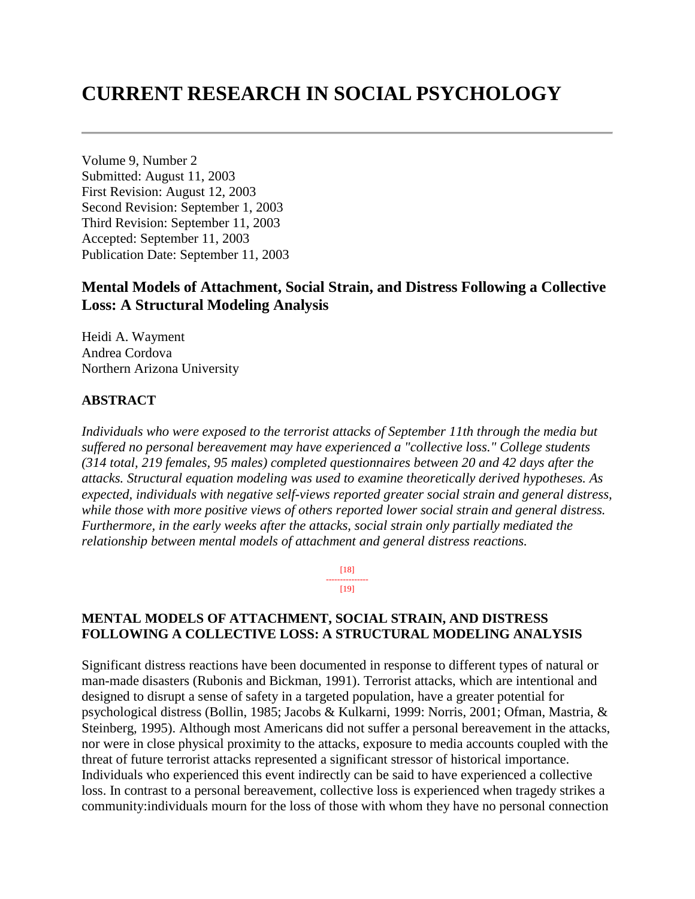# **CURRENT RESEARCH IN SOCIAL PSYCHOLOGY**

Volume 9, Number 2 Submitted: August 11, 2003 First Revision: August 12, 2003 Second Revision: September 1, 2003 Third Revision: September 11, 2003 Accepted: September 11, 2003 Publication Date: September 11, 2003

# **Mental Models of Attachment, Social Strain, and Distress Following a Collective Loss: A Structural Modeling Analysis**

Heidi A. Wayment Andrea Cordova Northern Arizona University

#### **ABSTRACT**

*Individuals who were exposed to the terrorist attacks of September 11th through the media but suffered no personal bereavement may have experienced a "collective loss." College students (314 total, 219 females, 95 males) completed questionnaires between 20 and 42 days after the attacks. Structural equation modeling was used to examine theoretically derived hypotheses. As expected, individuals with negative self-views reported greater social strain and general distress, while those with more positive views of others reported lower social strain and general distress. Furthermore, in the early weeks after the attacks, social strain only partially mediated the relationship between mental models of attachment and general distress reactions.*

> [18] --------------- [19]

#### **MENTAL MODELS OF ATTACHMENT, SOCIAL STRAIN, AND DISTRESS FOLLOWING A COLLECTIVE LOSS: A STRUCTURAL MODELING ANALYSIS**

Significant distress reactions have been documented in response to different types of natural or man-made disasters (Rubonis and Bickman, 1991). Terrorist attacks, which are intentional and designed to disrupt a sense of safety in a targeted population, have a greater potential for psychological distress (Bollin, 1985; Jacobs & Kulkarni, 1999: Norris, 2001; Ofman, Mastria, & Steinberg, 1995). Although most Americans did not suffer a personal bereavement in the attacks, nor were in close physical proximity to the attacks, exposure to media accounts coupled with the threat of future terrorist attacks represented a significant stressor of historical importance. Individuals who experienced this event indirectly can be said to have experienced a collective loss. In contrast to a personal bereavement, collective loss is experienced when tragedy strikes a community:individuals mourn for the loss of those with whom they have no personal connection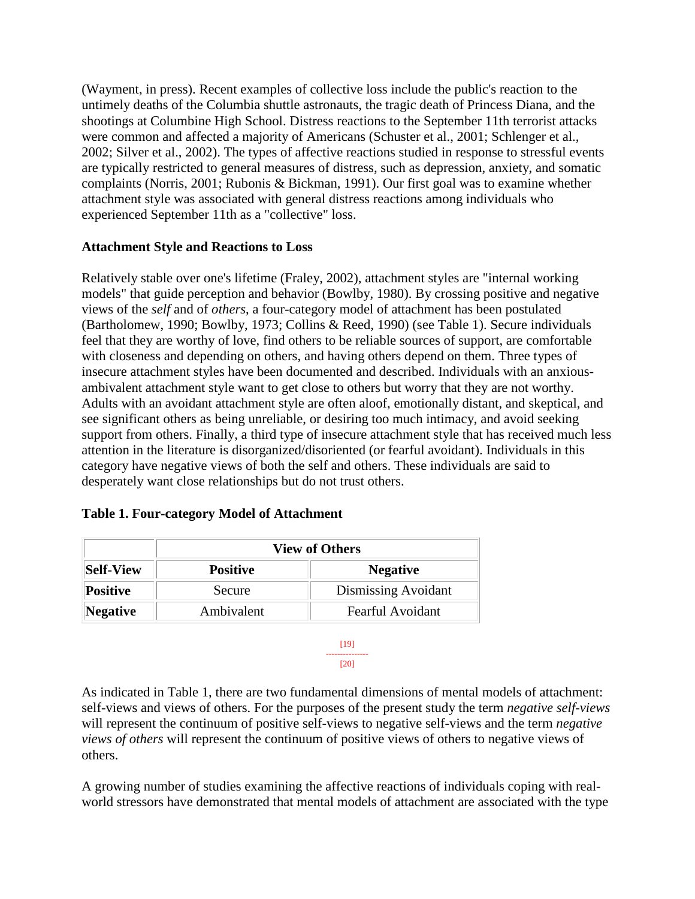(Wayment, in press). Recent examples of collective loss include the public's reaction to the untimely deaths of the Columbia shuttle astronauts, the tragic death of Princess Diana, and the shootings at Columbine High School. Distress reactions to the September 11th terrorist attacks were common and affected a majority of Americans (Schuster et al., 2001; Schlenger et al., 2002; Silver et al., 2002). The types of affective reactions studied in response to stressful events are typically restricted to general measures of distress, such as depression, anxiety, and somatic complaints (Norris, 2001; Rubonis & Bickman, 1991). Our first goal was to examine whether attachment style was associated with general distress reactions among individuals who experienced September 11th as a "collective" loss.

## **Attachment Style and Reactions to Loss**

Relatively stable over one's lifetime (Fraley, 2002), attachment styles are "internal working models" that guide perception and behavior (Bowlby, 1980). By crossing positive and negative views of the *self* and of *others*, a four-category model of attachment has been postulated (Bartholomew, 1990; Bowlby, 1973; Collins & Reed, 1990) (see Table 1). Secure individuals feel that they are worthy of love, find others to be reliable sources of support, are comfortable with closeness and depending on others, and having others depend on them. Three types of insecure attachment styles have been documented and described. Individuals with an anxiousambivalent attachment style want to get close to others but worry that they are not worthy. Adults with an avoidant attachment style are often aloof, emotionally distant, and skeptical, and see significant others as being unreliable, or desiring too much intimacy, and avoid seeking support from others. Finally, a third type of insecure attachment style that has received much less attention in the literature is disorganized/disoriented (or fearful avoidant). Individuals in this category have negative views of both the self and others. These individuals are said to desperately want close relationships but do not trust others.

|                  | <b>View of Others</b> |                         |  |
|------------------|-----------------------|-------------------------|--|
| <b>Self-View</b> | <b>Positive</b>       | <b>Negative</b>         |  |
| <b>Positive</b>  | Secure                | Dismissing Avoidant     |  |
| Negative         | Ambivalent            | <b>Fearful Avoidant</b> |  |

## **Table 1. Four-category Model of Attachment**

[19] --------------- [20]

As indicated in Table 1, there are two fundamental dimensions of mental models of attachment: self-views and views of others. For the purposes of the present study the term *negative self-views* will represent the continuum of positive self-views to negative self-views and the term *negative views of others* will represent the continuum of positive views of others to negative views of others.

A growing number of studies examining the affective reactions of individuals coping with realworld stressors have demonstrated that mental models of attachment are associated with the type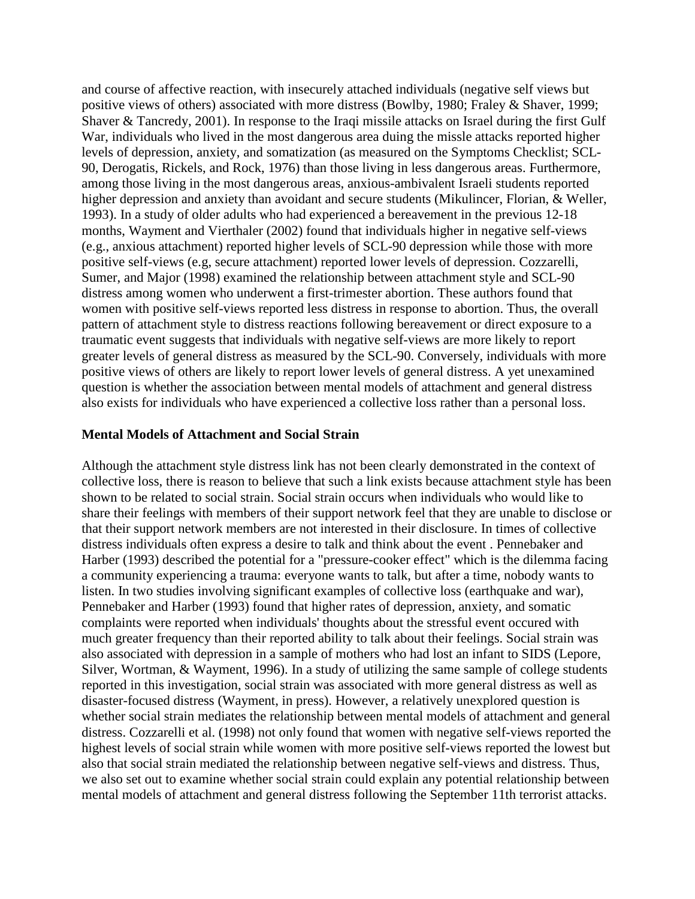and course of affective reaction, with insecurely attached individuals (negative self views but positive views of others) associated with more distress (Bowlby, 1980; Fraley & Shaver, 1999; Shaver & Tancredy, 2001). In response to the Iraqi missile attacks on Israel during the first Gulf War, individuals who lived in the most dangerous area duing the missle attacks reported higher levels of depression, anxiety, and somatization (as measured on the Symptoms Checklist; SCL-90, Derogatis, Rickels, and Rock, 1976) than those living in less dangerous areas. Furthermore, among those living in the most dangerous areas, anxious-ambivalent Israeli students reported higher depression and anxiety than avoidant and secure students (Mikulincer, Florian, & Weller, 1993). In a study of older adults who had experienced a bereavement in the previous 12-18 months, Wayment and Vierthaler (2002) found that individuals higher in negative self-views (e.g., anxious attachment) reported higher levels of SCL-90 depression while those with more positive self-views (e.g, secure attachment) reported lower levels of depression. Cozzarelli, Sumer, and Major (1998) examined the relationship between attachment style and SCL-90 distress among women who underwent a first-trimester abortion. These authors found that women with positive self-views reported less distress in response to abortion. Thus, the overall pattern of attachment style to distress reactions following bereavement or direct exposure to a traumatic event suggests that individuals with negative self-views are more likely to report greater levels of general distress as measured by the SCL-90. Conversely, individuals with more positive views of others are likely to report lower levels of general distress. A yet unexamined question is whether the association between mental models of attachment and general distress also exists for individuals who have experienced a collective loss rather than a personal loss.

#### **Mental Models of Attachment and Social Strain**

Although the attachment style distress link has not been clearly demonstrated in the context of collective loss, there is reason to believe that such a link exists because attachment style has been shown to be related to social strain. Social strain occurs when individuals who would like to share their feelings with members of their support network feel that they are unable to disclose or that their support network members are not interested in their disclosure. In times of collective distress individuals often express a desire to talk and think about the event . Pennebaker and Harber (1993) described the potential for a "pressure-cooker effect" which is the dilemma facing a community experiencing a trauma: everyone wants to talk, but after a time, nobody wants to listen. In two studies involving significant examples of collective loss (earthquake and war), Pennebaker and Harber (1993) found that higher rates of depression, anxiety, and somatic complaints were reported when individuals' thoughts about the stressful event occured with much greater frequency than their reported ability to talk about their feelings. Social strain was also associated with depression in a sample of mothers who had lost an infant to SIDS (Lepore, Silver, Wortman, & Wayment, 1996). In a study of utilizing the same sample of college students reported in this investigation, social strain was associated with more general distress as well as disaster-focused distress (Wayment, in press). However, a relatively unexplored question is whether social strain mediates the relationship between mental models of attachment and general distress. Cozzarelli et al. (1998) not only found that women with negative self-views reported the highest levels of social strain while women with more positive self-views reported the lowest but also that social strain mediated the relationship between negative self-views and distress. Thus, we also set out to examine whether social strain could explain any potential relationship between mental models of attachment and general distress following the September 11th terrorist attacks.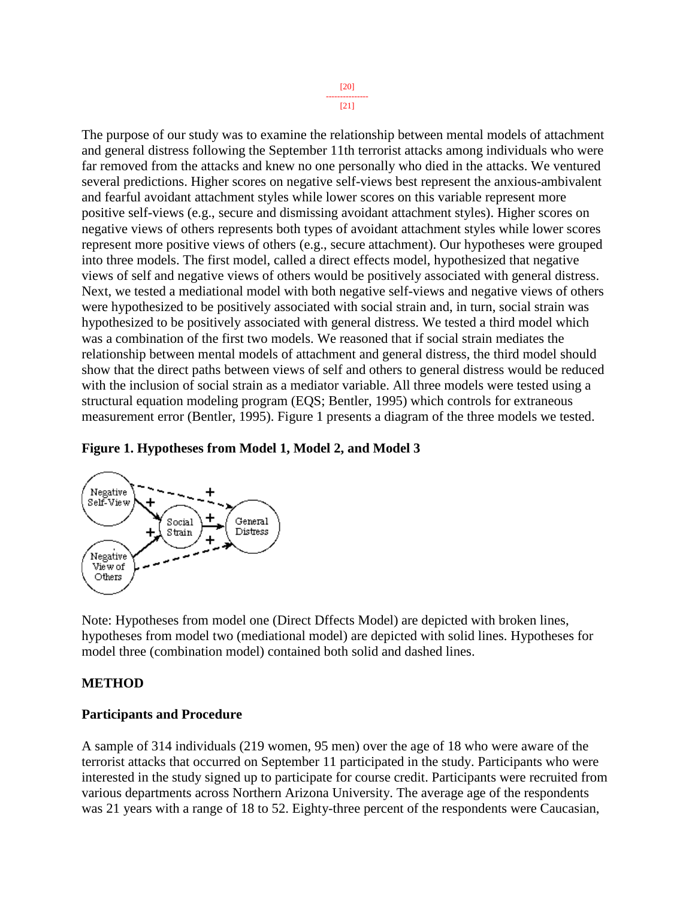[20] --------------- [21]

The purpose of our study was to examine the relationship between mental models of attachment and general distress following the September 11th terrorist attacks among individuals who were far removed from the attacks and knew no one personally who died in the attacks. We ventured several predictions. Higher scores on negative self-views best represent the anxious-ambivalent and fearful avoidant attachment styles while lower scores on this variable represent more positive self-views (e.g., secure and dismissing avoidant attachment styles). Higher scores on negative views of others represents both types of avoidant attachment styles while lower scores represent more positive views of others (e.g., secure attachment). Our hypotheses were grouped into three models. The first model, called a direct effects model, hypothesized that negative views of self and negative views of others would be positively associated with general distress. Next, we tested a mediational model with both negative self-views and negative views of others were hypothesized to be positively associated with social strain and, in turn, social strain was hypothesized to be positively associated with general distress. We tested a third model which was a combination of the first two models. We reasoned that if social strain mediates the relationship between mental models of attachment and general distress, the third model should show that the direct paths between views of self and others to general distress would be reduced with the inclusion of social strain as a mediator variable. All three models were tested using a structural equation modeling program (EQS; Bentler, 1995) which controls for extraneous measurement error (Bentler, 1995). Figure 1 presents a diagram of the three models we tested.

#### **Figure 1. Hypotheses from Model 1, Model 2, and Model 3**



Note: Hypotheses from model one (Direct Dffects Model) are depicted with broken lines, hypotheses from model two (mediational model) are depicted with solid lines. Hypotheses for model three (combination model) contained both solid and dashed lines.

#### **METHOD**

#### **Participants and Procedure**

A sample of 314 individuals (219 women, 95 men) over the age of 18 who were aware of the terrorist attacks that occurred on September 11 participated in the study. Participants who were interested in the study signed up to participate for course credit. Participants were recruited from various departments across Northern Arizona University. The average age of the respondents was 21 years with a range of 18 to 52. Eighty-three percent of the respondents were Caucasian,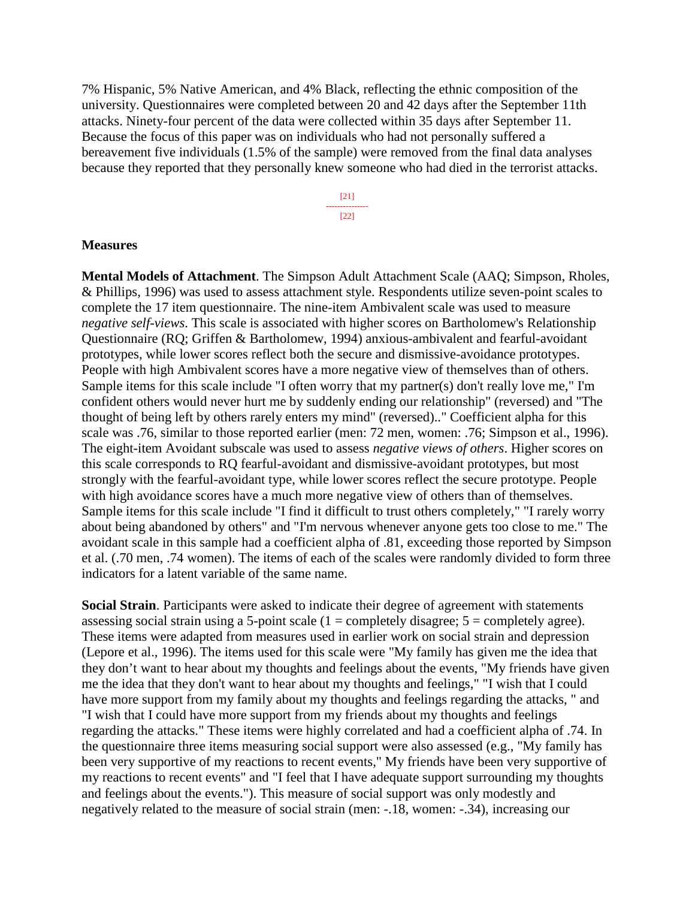7% Hispanic, 5% Native American, and 4% Black, reflecting the ethnic composition of the university. Questionnaires were completed between 20 and 42 days after the September 11th attacks. Ninety-four percent of the data were collected within 35 days after September 11. Because the focus of this paper was on individuals who had not personally suffered a bereavement five individuals (1.5% of the sample) were removed from the final data analyses because they reported that they personally knew someone who had died in the terrorist attacks.

> [21] --------------- [22]

#### **Measures**

**Mental Models of Attachment**. The Simpson Adult Attachment Scale (AAQ; Simpson, Rholes, & Phillips, 1996) was used to assess attachment style. Respondents utilize seven-point scales to complete the 17 item questionnaire. The nine-item Ambivalent scale was used to measure *negative self-views*. This scale is associated with higher scores on Bartholomew's Relationship Questionnaire (RQ; Griffen & Bartholomew, 1994) anxious-ambivalent and fearful-avoidant prototypes, while lower scores reflect both the secure and dismissive-avoidance prototypes. People with high Ambivalent scores have a more negative view of themselves than of others. Sample items for this scale include "I often worry that my partner(s) don't really love me," I'm confident others would never hurt me by suddenly ending our relationship" (reversed) and "The thought of being left by others rarely enters my mind" (reversed).." Coefficient alpha for this scale was .76, similar to those reported earlier (men: 72 men, women: .76; Simpson et al., 1996). The eight-item Avoidant subscale was used to assess *negative views of others*. Higher scores on this scale corresponds to RQ fearful-avoidant and dismissive-avoidant prototypes, but most strongly with the fearful-avoidant type, while lower scores reflect the secure prototype. People with high avoidance scores have a much more negative view of others than of themselves. Sample items for this scale include "I find it difficult to trust others completely," "I rarely worry about being abandoned by others" and "I'm nervous whenever anyone gets too close to me." The avoidant scale in this sample had a coefficient alpha of .81, exceeding those reported by Simpson et al. (.70 men, .74 women). The items of each of the scales were randomly divided to form three indicators for a latent variable of the same name.

**Social Strain**. Participants were asked to indicate their degree of agreement with statements assessing social strain using a 5-point scale  $(1 = \text{completely disagree}; 5 = \text{completely agree}).$ These items were adapted from measures used in earlier work on social strain and depression (Lepore et al., 1996). The items used for this scale were "My family has given me the idea that they don't want to hear about my thoughts and feelings about the events, "My friends have given me the idea that they don't want to hear about my thoughts and feelings," "I wish that I could have more support from my family about my thoughts and feelings regarding the attacks, " and "I wish that I could have more support from my friends about my thoughts and feelings regarding the attacks." These items were highly correlated and had a coefficient alpha of .74. In the questionnaire three items measuring social support were also assessed (e.g., "My family has been very supportive of my reactions to recent events," My friends have been very supportive of my reactions to recent events" and "I feel that I have adequate support surrounding my thoughts and feelings about the events."). This measure of social support was only modestly and negatively related to the measure of social strain (men: -.18, women: -.34), increasing our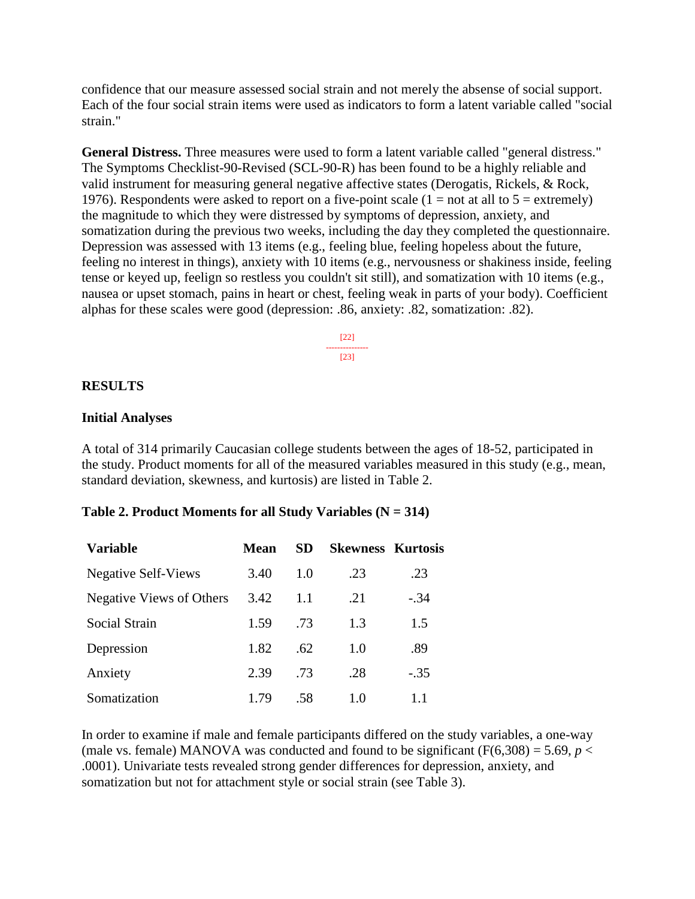confidence that our measure assessed social strain and not merely the absense of social support. Each of the four social strain items were used as indicators to form a latent variable called "social strain."

**General Distress.** Three measures were used to form a latent variable called "general distress." The Symptoms Checklist-90-Revised (SCL-90-R) has been found to be a highly reliable and valid instrument for measuring general negative affective states (Derogatis, Rickels, & Rock, 1976). Respondents were asked to report on a five-point scale  $(1 = not at all to 5 = extremely)$ the magnitude to which they were distressed by symptoms of depression, anxiety, and somatization during the previous two weeks, including the day they completed the questionnaire. Depression was assessed with 13 items (e.g., feeling blue, feeling hopeless about the future, feeling no interest in things), anxiety with 10 items (e.g., nervousness or shakiness inside, feeling tense or keyed up, feelign so restless you couldn't sit still), and somatization with 10 items (e.g., nausea or upset stomach, pains in heart or chest, feeling weak in parts of your body). Coefficient alphas for these scales were good (depression: .86, anxiety: .82, somatization: .82).

> [22] --------------- [23]

#### **RESULTS**

#### **Initial Analyses**

A total of 314 primarily Caucasian college students between the ages of 18-52, participated in the study. Product moments for all of the measured variables measured in this study (e.g., mean, standard deviation, skewness, and kurtosis) are listed in Table 2.

#### **Table 2. Product Moments for all Study Variables (N = 314)**

| <b>Variable</b>            | Mean | SD. | <b>Skewness Kurtosis</b> |        |
|----------------------------|------|-----|--------------------------|--------|
| <b>Negative Self-Views</b> | 3.40 | 1.0 | .23                      | .23    |
| Negative Views of Others   | 3.42 | 1.1 | .21                      | $-.34$ |
| Social Strain              | 1.59 | .73 | 1.3                      | 1.5    |
| Depression                 | 1.82 | .62 | 1.0                      | .89    |
| Anxiety                    | 2.39 | .73 | .28                      | $-.35$ |
| Somatization               | 1.79 | -58 | 1.0                      | 1.1    |

In order to examine if male and female participants differed on the study variables, a one-way (male vs. female) MANOVA was conducted and found to be significant ( $F(6,308) = 5.69$ ,  $p <$ .0001). Univariate tests revealed strong gender differences for depression, anxiety, and somatization but not for attachment style or social strain (see Table 3).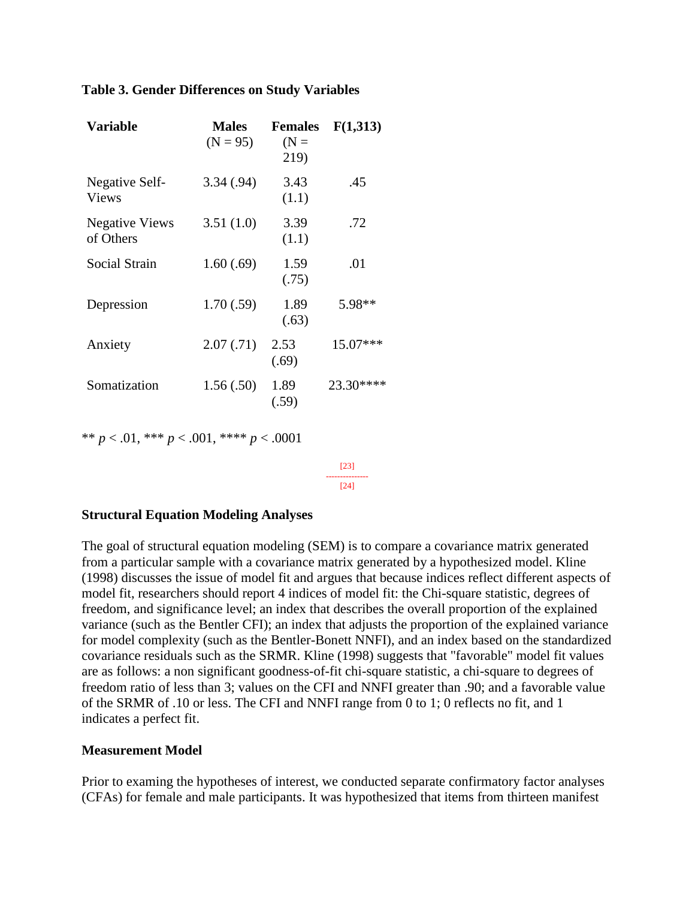#### **Table 3. Gender Differences on Study Variables**

| <b>Variable</b>                    | <b>Males</b><br>$(N = 95)$ | <b>Females</b><br>$(N =$<br>219) | F(1,313)  |
|------------------------------------|----------------------------|----------------------------------|-----------|
| Negative Self-<br><b>Views</b>     | 3.34(.94)                  | 3.43<br>(1.1)                    | .45       |
| <b>Negative Views</b><br>of Others | 3.51(1.0)                  | 3.39<br>(1.1)                    | .72       |
| Social Strain                      | 1.60(.69)                  | 1.59<br>(.75)                    | .01       |
| Depression                         | 1.70(.59)                  | 1.89<br>(.63)                    | 5.98**    |
| Anxiety                            | 2.07(0.71)                 | 2.53<br>(.69)                    | 15.07***  |
| Somatization                       | 1.56(.50)                  | 1.89<br>(.59)                    | 23.30**** |

\*\* *p* < .01, \*\*\* *p* < .001, \*\*\*\* *p* < .0001

[23] ---------------  $[24]$ 

#### **Structural Equation Modeling Analyses**

The goal of structural equation modeling (SEM) is to compare a covariance matrix generated from a particular sample with a covariance matrix generated by a hypothesized model. Kline (1998) discusses the issue of model fit and argues that because indices reflect different aspects of model fit, researchers should report 4 indices of model fit: the Chi-square statistic, degrees of freedom, and significance level; an index that describes the overall proportion of the explained variance (such as the Bentler CFI); an index that adjusts the proportion of the explained variance for model complexity (such as the Bentler-Bonett NNFI), and an index based on the standardized covariance residuals such as the SRMR. Kline (1998) suggests that "favorable" model fit values are as follows: a non significant goodness-of-fit chi-square statistic, a chi-square to degrees of freedom ratio of less than 3; values on the CFI and NNFI greater than .90; and a favorable value of the SRMR of .10 or less. The CFI and NNFI range from 0 to 1; 0 reflects no fit, and 1 indicates a perfect fit.

#### **Measurement Model**

Prior to examing the hypotheses of interest, we conducted separate confirmatory factor analyses (CFAs) for female and male participants. It was hypothesized that items from thirteen manifest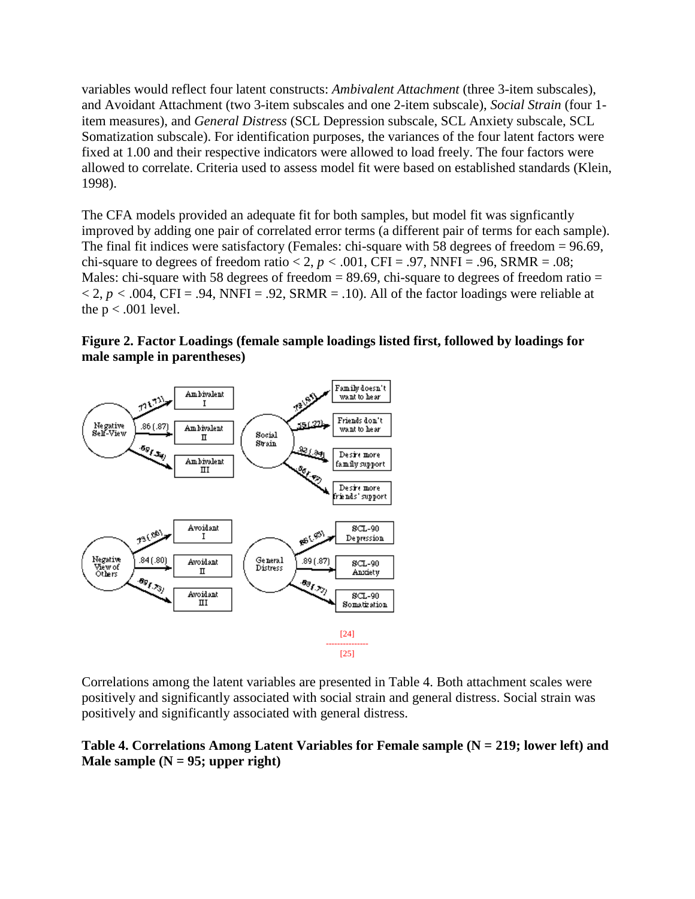variables would reflect four latent constructs: *Ambivalent Attachment* (three 3-item subscales), and Avoidant Attachment (two 3-item subscales and one 2-item subscale), *Social Strain* (four 1 item measures), and *General Distress* (SCL Depression subscale, SCL Anxiety subscale, SCL Somatization subscale). For identification purposes, the variances of the four latent factors were fixed at 1.00 and their respective indicators were allowed to load freely. The four factors were allowed to correlate. Criteria used to assess model fit were based on established standards (Klein, 1998).

The CFA models provided an adequate fit for both samples, but model fit was signficantly improved by adding one pair of correlated error terms (a different pair of terms for each sample). The final fit indices were satisfactory (Females: chi-square with 58 degrees of freedom = 96.69, chi-square to degrees of freedom ratio  $< 2, p < .001$ , CFI = .97, NNFI = .96, SRMR = .08; Males: chi-square with 58 degrees of freedom  $= 89.69$ , chi-square to degrees of freedom ratio  $=$  $<$  2,  $p$   $<$  .004, CFI = .94, NNFI = .92, SRMR = .10). All of the factor loadings were reliable at the  $p < .001$  level.

**Figure 2. Factor Loadings (female sample loadings listed first, followed by loadings for male sample in parentheses)** 



Correlations among the latent variables are presented in Table 4. Both attachment scales were positively and significantly associated with social strain and general distress. Social strain was positively and significantly associated with general distress.

## **Table 4. Correlations Among Latent Variables for Female sample (N = 219; lower left) and Male sample (N = 95; upper right)**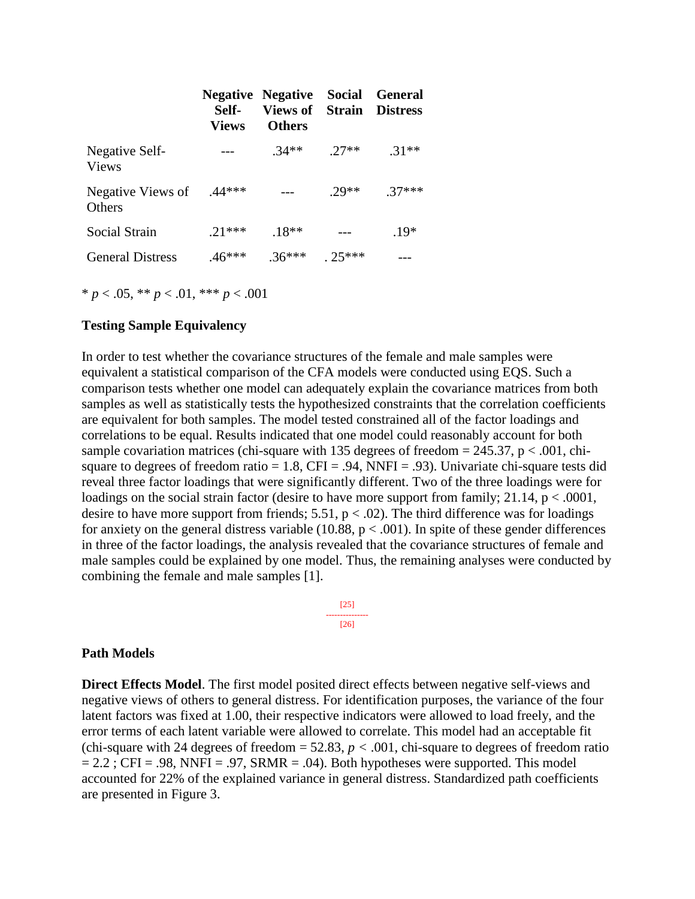|                                   | Self-<br>Views | <b>Negative Negative Social General</b><br><b>Views of Strain Distress</b><br><b>Others</b> |         |         |
|-----------------------------------|----------------|---------------------------------------------------------------------------------------------|---------|---------|
| Negative Self-<br><b>Views</b>    |                | $.34**$                                                                                     | $.27**$ | $.31**$ |
| Negative Views of 44***<br>Others |                |                                                                                             | $29**$  | $37***$ |
| Social Strain                     | $.21***$       | $.18**$                                                                                     |         | $.19*$  |
| <b>General Distress</b>           | $.46***$       | $.36***$                                                                                    | $25***$ |         |

\* *p* < .05, \*\* *p* < .01, \*\*\* *p* < .001

#### **Testing Sample Equivalency**

In order to test whether the covariance structures of the female and male samples were equivalent a statistical comparison of the CFA models were conducted using EQS. Such a comparison tests whether one model can adequately explain the covariance matrices from both samples as well as statistically tests the hypothesized constraints that the correlation coefficients are equivalent for both samples. The model tested constrained all of the factor loadings and correlations to be equal. Results indicated that one model could reasonably account for both sample covariation matrices (chi-square with 135 degrees of freedom  $= 245.37$ , p  $< .001$ , chisquare to degrees of freedom ratio =  $1.8$ , CFI = .94, NNFI = .93). Univariate chi-square tests did reveal three factor loadings that were significantly different. Two of the three loadings were for loadings on the social strain factor (desire to have more support from family;  $21.14$ ,  $p < .0001$ , desire to have more support from friends;  $5.51$ ,  $p < .02$ ). The third difference was for loadings for anxiety on the general distress variable (10.88,  $p < .001$ ). In spite of these gender differences in three of the factor loadings, the analysis revealed that the covariance structures of female and male samples could be explained by one model. Thus, the remaining analyses were conducted by combining the female and male samples [1].

> [25] --------------- [26]

#### **Path Models**

**Direct Effects Model**. The first model posited direct effects between negative self-views and negative views of others to general distress. For identification purposes, the variance of the four latent factors was fixed at 1.00, their respective indicators were allowed to load freely, and the error terms of each latent variable were allowed to correlate. This model had an acceptable fit (chi-square with 24 degrees of freedom  $= 52.83$ ,  $p < .001$ , chi-square to degrees of freedom ratio  $= 2.2$ ; CFI = .98, NNFI = .97, SRMR = .04). Both hypotheses were supported. This model accounted for 22% of the explained variance in general distress. Standardized path coefficients are presented in Figure 3.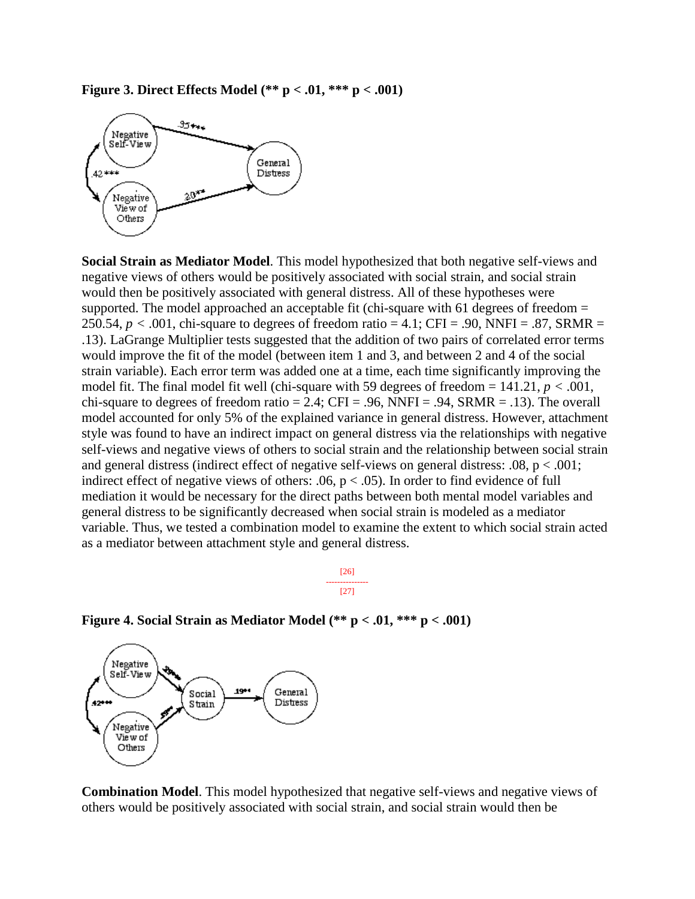



**Social Strain as Mediator Model**. This model hypothesized that both negative self-views and negative views of others would be positively associated with social strain, and social strain would then be positively associated with general distress. All of these hypotheses were supported. The model approached an acceptable fit (chi-square with 61 degrees of freedom  $=$ 250.54,  $p < .001$ , chi-square to degrees of freedom ratio = 4.1; CFI = .90, NNFI = .87, SRMR = .13). LaGrange Multiplier tests suggested that the addition of two pairs of correlated error terms would improve the fit of the model (between item 1 and 3, and between 2 and 4 of the social strain variable). Each error term was added one at a time, each time significantly improving the model fit. The final model fit well (chi-square with 59 degrees of freedom = 141.21, *p <* .001, chi-square to degrees of freedom ratio = 2.4; CFI = .96, NNFI = .94, SRMR = .13). The overall model accounted for only 5% of the explained variance in general distress. However, attachment style was found to have an indirect impact on general distress via the relationships with negative self-views and negative views of others to social strain and the relationship between social strain and general distress (indirect effect of negative self-views on general distress:  $.08$ ,  $p < .001$ ; indirect effect of negative views of others: .06,  $p < .05$ ). In order to find evidence of full mediation it would be necessary for the direct paths between both mental model variables and general distress to be significantly decreased when social strain is modeled as a mediator variable. Thus, we tested a combination model to examine the extent to which social strain acted as a mediator between attachment style and general distress.

**Figure 4. Social Strain as Mediator Model (\*\* p < .01, \*\*\* p < .001)**



**Combination Model**. This model hypothesized that negative self-views and negative views of others would be positively associated with social strain, and social strain would then be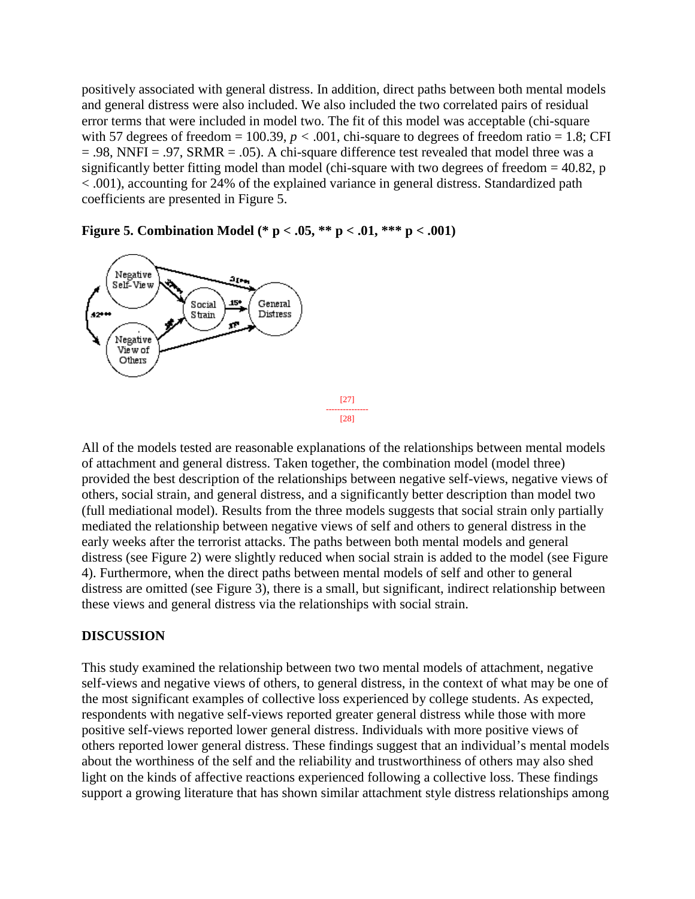positively associated with general distress. In addition, direct paths between both mental models and general distress were also included. We also included the two correlated pairs of residual error terms that were included in model two. The fit of this model was acceptable (chi-square with 57 degrees of freedom = 100.39,  $p < .001$ , chi-square to degrees of freedom ratio = 1.8; CFI  $= .98$ , NNFI = .97, SRMR = .05). A chi-square difference test revealed that model three was a significantly better fitting model than model (chi-square with two degrees of freedom  $= 40.82$ , p < .001), accounting for 24% of the explained variance in general distress. Standardized path coefficients are presented in Figure 5.

Negative an, Self-View 15\* General Social Strain Distress  $\mathbf{r}$ Negative View of Others

**Figure 5. Combination Model (\* p < .05, \*\* p < .01, \*\*\* p < .001)**

All of the models tested are reasonable explanations of the relationships between mental models of attachment and general distress. Taken together, the combination model (model three) provided the best description of the relationships between negative self-views, negative views of others, social strain, and general distress, and a significantly better description than model two (full mediational model). Results from the three models suggests that social strain only partially mediated the relationship between negative views of self and others to general distress in the early weeks after the terrorist attacks. The paths between both mental models and general distress (see Figure 2) were slightly reduced when social strain is added to the model (see Figure 4). Furthermore, when the direct paths between mental models of self and other to general distress are omitted (see Figure 3), there is a small, but significant, indirect relationship between these views and general distress via the relationships with social strain.

[27] --------------- [28]

#### **DISCUSSION**

This study examined the relationship between two two mental models of attachment, negative self-views and negative views of others, to general distress, in the context of what may be one of the most significant examples of collective loss experienced by college students. As expected, respondents with negative self-views reported greater general distress while those with more positive self-views reported lower general distress. Individuals with more positive views of others reported lower general distress. These findings suggest that an individual's mental models about the worthiness of the self and the reliability and trustworthiness of others may also shed light on the kinds of affective reactions experienced following a collective loss. These findings support a growing literature that has shown similar attachment style distress relationships among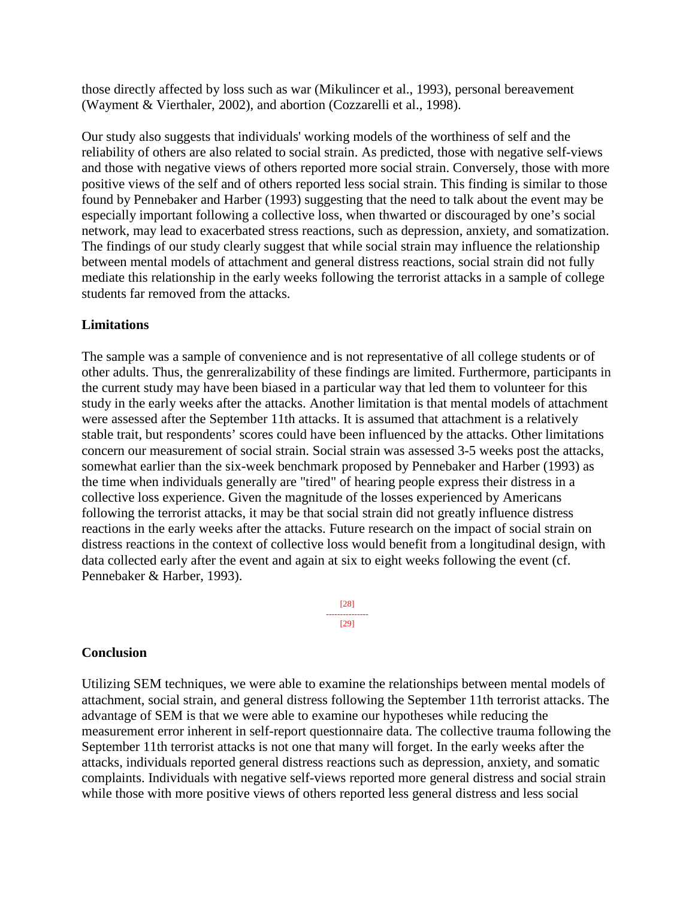those directly affected by loss such as war (Mikulincer et al., 1993), personal bereavement (Wayment & Vierthaler, 2002), and abortion (Cozzarelli et al., 1998).

Our study also suggests that individuals' working models of the worthiness of self and the reliability of others are also related to social strain. As predicted, those with negative self-views and those with negative views of others reported more social strain. Conversely, those with more positive views of the self and of others reported less social strain. This finding is similar to those found by Pennebaker and Harber (1993) suggesting that the need to talk about the event may be especially important following a collective loss, when thwarted or discouraged by one's social network, may lead to exacerbated stress reactions, such as depression, anxiety, and somatization. The findings of our study clearly suggest that while social strain may influence the relationship between mental models of attachment and general distress reactions, social strain did not fully mediate this relationship in the early weeks following the terrorist attacks in a sample of college students far removed from the attacks.

#### **Limitations**

The sample was a sample of convenience and is not representative of all college students or of other adults. Thus, the genreralizability of these findings are limited. Furthermore, participants in the current study may have been biased in a particular way that led them to volunteer for this study in the early weeks after the attacks. Another limitation is that mental models of attachment were assessed after the September 11th attacks. It is assumed that attachment is a relatively stable trait, but respondents' scores could have been influenced by the attacks. Other limitations concern our measurement of social strain. Social strain was assessed 3-5 weeks post the attacks, somewhat earlier than the six-week benchmark proposed by Pennebaker and Harber (1993) as the time when individuals generally are "tired" of hearing people express their distress in a collective loss experience. Given the magnitude of the losses experienced by Americans following the terrorist attacks, it may be that social strain did not greatly influence distress reactions in the early weeks after the attacks. Future research on the impact of social strain on distress reactions in the context of collective loss would benefit from a longitudinal design, with data collected early after the event and again at six to eight weeks following the event (cf. Pennebaker & Harber, 1993).

> [28] --------------- [29]

#### **Conclusion**

Utilizing SEM techniques, we were able to examine the relationships between mental models of attachment, social strain, and general distress following the September 11th terrorist attacks. The advantage of SEM is that we were able to examine our hypotheses while reducing the measurement error inherent in self-report questionnaire data. The collective trauma following the September 11th terrorist attacks is not one that many will forget. In the early weeks after the attacks, individuals reported general distress reactions such as depression, anxiety, and somatic complaints. Individuals with negative self-views reported more general distress and social strain while those with more positive views of others reported less general distress and less social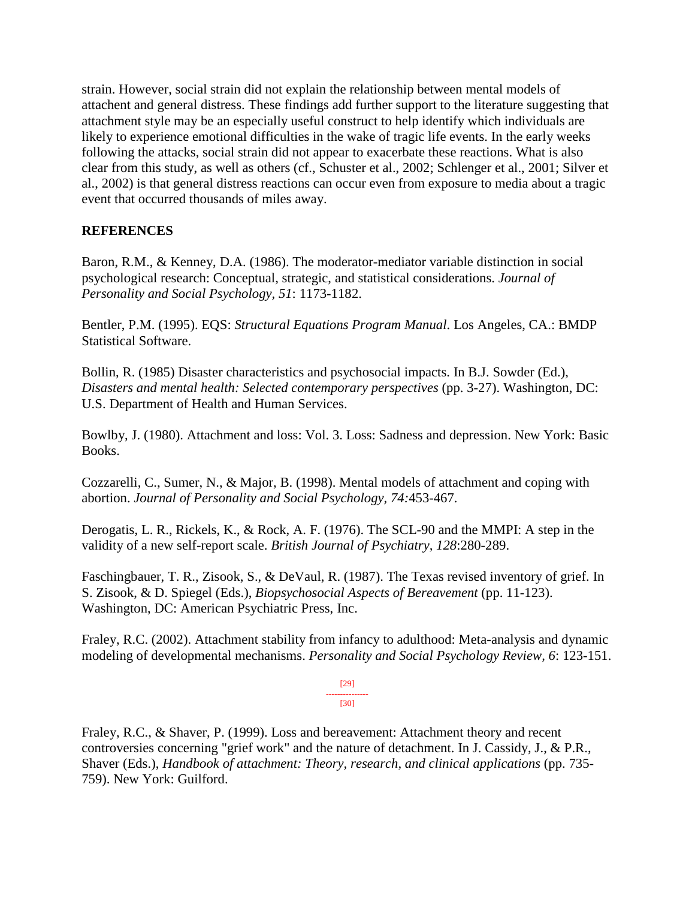strain. However, social strain did not explain the relationship between mental models of attachent and general distress. These findings add further support to the literature suggesting that attachment style may be an especially useful construct to help identify which individuals are likely to experience emotional difficulties in the wake of tragic life events. In the early weeks following the attacks, social strain did not appear to exacerbate these reactions. What is also clear from this study, as well as others (cf., Schuster et al., 2002; Schlenger et al., 2001; Silver et al., 2002) is that general distress reactions can occur even from exposure to media about a tragic event that occurred thousands of miles away.

## **REFERENCES**

Baron, R.M., & Kenney, D.A. (1986). The moderator-mediator variable distinction in social psychological research: Conceptual, strategic, and statistical considerations. *Journal of Personality and Social Psychology, 51*: 1173-1182.

Bentler, P.M. (1995). EQS: *Structural Equations Program Manual*. Los Angeles, CA.: BMDP Statistical Software.

Bollin, R. (1985) Disaster characteristics and psychosocial impacts. In B.J. Sowder (Ed.), *Disasters and mental health: Selected contemporary perspectives* (pp. 3-27). Washington, DC: U.S. Department of Health and Human Services.

Bowlby, J. (1980). Attachment and loss: Vol. 3. Loss: Sadness and depression. New York: Basic Books.

Cozzarelli, C., Sumer, N., & Major, B. (1998). Mental models of attachment and coping with abortion. *Journal of Personality and Social Psychology, 74:*453-467.

Derogatis, L. R., Rickels, K., & Rock, A. F. (1976). The SCL-90 and the MMPI: A step in the validity of a new self-report scale. *British Journal of Psychiatry, 128*:280-289.

Faschingbauer, T. R., Zisook, S., & DeVaul, R. (1987). The Texas revised inventory of grief. In S. Zisook, & D. Spiegel (Eds.), *Biopsychosocial Aspects of Bereavement* (pp. 11-123). Washington, DC: American Psychiatric Press, Inc.

Fraley, R.C. (2002). Attachment stability from infancy to adulthood: Meta-analysis and dynamic modeling of developmental mechanisms. *Personality and Social Psychology Review, 6*: 123-151.

> [29] --------------- [30]

Fraley, R.C., & Shaver, P. (1999). Loss and bereavement: Attachment theory and recent controversies concerning "grief work" and the nature of detachment. In J. Cassidy, J., & P.R., Shaver (Eds.), *Handbook of attachment: Theory, research, and clinical applications* (pp. 735- 759). New York: Guilford.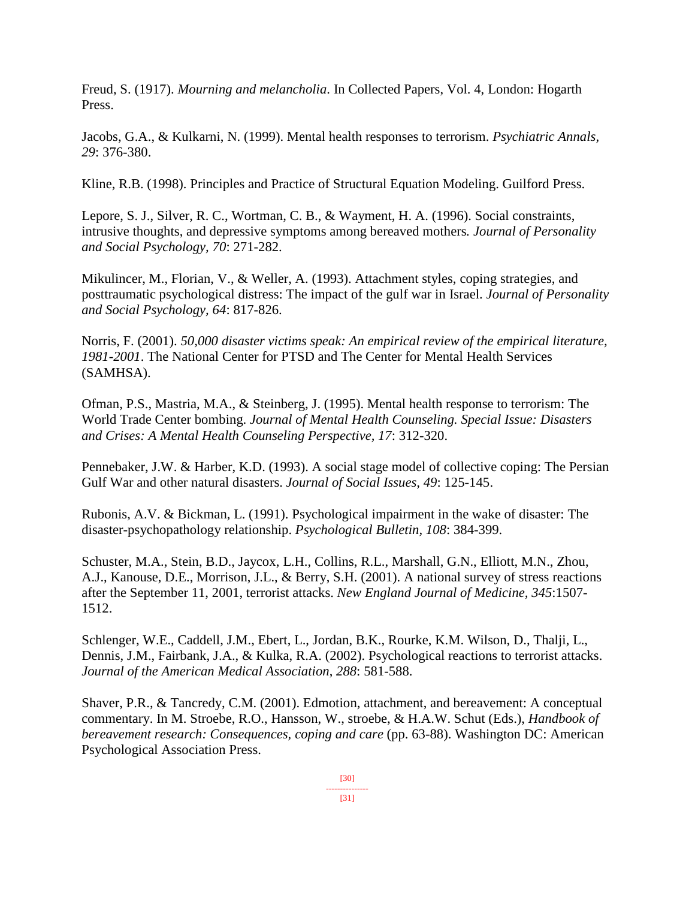Freud, S. (1917). *Mourning and melancholia*. In Collected Papers, Vol. 4, London: Hogarth Press.

Jacobs, G.A., & Kulkarni, N. (1999). Mental health responses to terrorism. *Psychiatric Annals, 29*: 376-380.

Kline, R.B. (1998). Principles and Practice of Structural Equation Modeling. Guilford Press.

Lepore, S. J., Silver, R. C., Wortman, C. B., & Wayment, H. A. (1996). Social constraints, intrusive thoughts, and depressive symptoms among bereaved mothers*. Journal of Personality and Social Psychology, 70*: 271-282.

Mikulincer, M., Florian, V., & Weller, A. (1993). Attachment styles, coping strategies, and posttraumatic psychological distress: The impact of the gulf war in Israel. *Journal of Personality and Social Psychology, 64*: 817-826.

Norris, F. (2001). *50,000 disaster victims speak: An empirical review of the empirical literature, 1981-2001*. The National Center for PTSD and The Center for Mental Health Services (SAMHSA).

Ofman, P.S., Mastria, M.A., & Steinberg, J. (1995). Mental health response to terrorism: The World Trade Center bombing. *Journal of Mental Health Counseling. Special Issue: Disasters and Crises: A Mental Health Counseling Perspective, 17*: 312-320.

Pennebaker, J.W. & Harber, K.D. (1993). A social stage model of collective coping: The Persian Gulf War and other natural disasters. *Journal of Social Issues, 49*: 125-145.

Rubonis, A.V. & Bickman, L. (1991). Psychological impairment in the wake of disaster: The disaster-psychopathology relationship. *Psychological Bulletin, 108*: 384-399.

Schuster, M.A., Stein, B.D., Jaycox, L.H., Collins, R.L., Marshall, G.N., Elliott, M.N., Zhou, A.J., Kanouse, D.E., Morrison, J.L., & Berry, S.H. (2001). A national survey of stress reactions after the September 11, 2001, terrorist attacks. *New England Journal of Medicine, 345*:1507- 1512.

Schlenger, W.E., Caddell, J.M., Ebert, L., Jordan, B.K., Rourke, K.M. Wilson, D., Thalji, L., Dennis, J.M., Fairbank, J.A., & Kulka, R.A. (2002). Psychological reactions to terrorist attacks. *Journal of the American Medical Association*, *288*: 581-588.

Shaver, P.R., & Tancredy, C.M. (2001). Edmotion, attachment, and bereavement: A conceptual commentary. In M. Stroebe, R.O., Hansson, W., stroebe, & H.A.W. Schut (Eds.), *Handbook of bereavement research: Consequences, coping and care* (pp. 63-88). Washington DC: American Psychological Association Press.